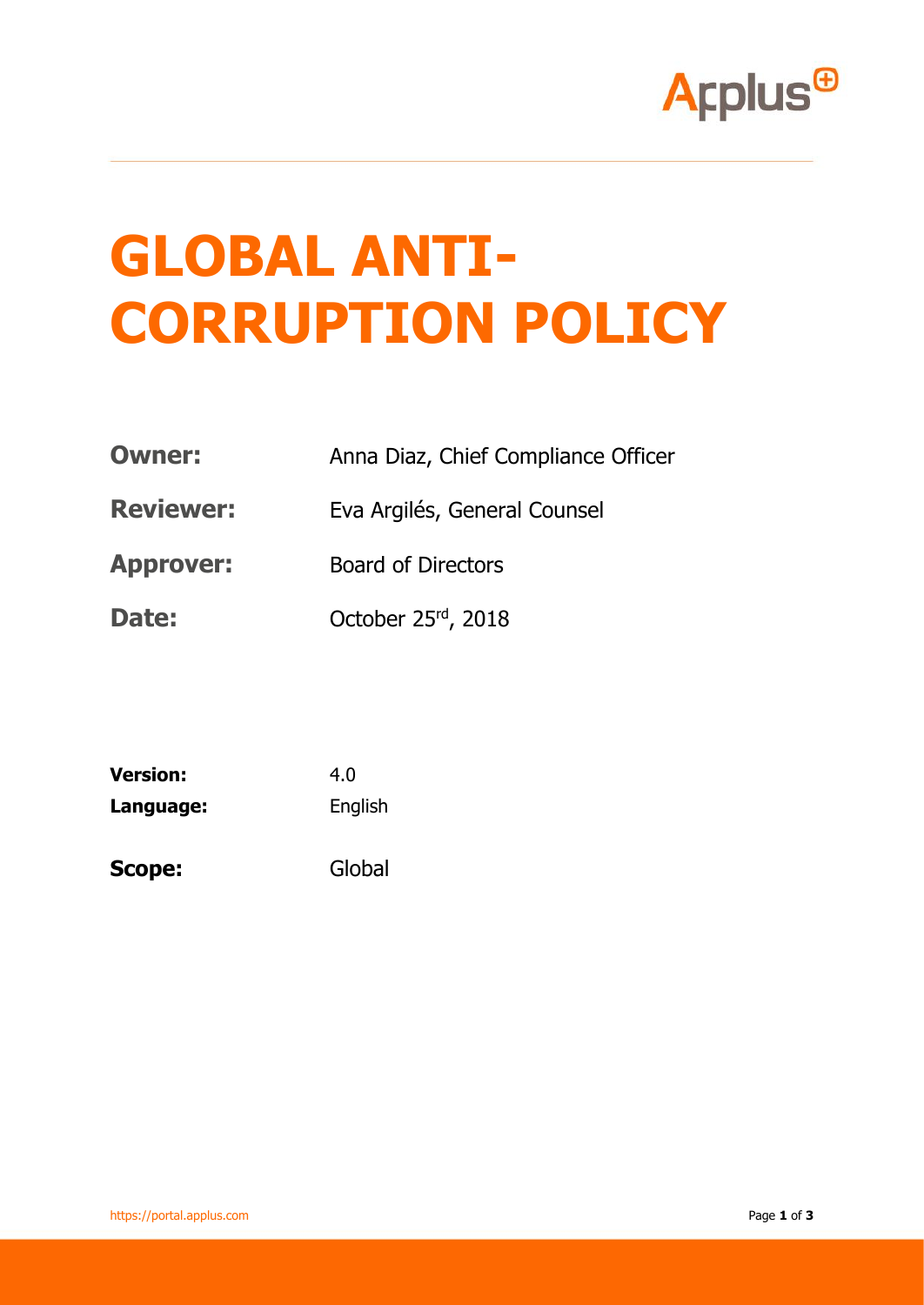

## **GLOBAL ANTI-CORRUPTION POLICY**

- **Owner:** Anna Diaz, Chief Compliance Officer
- **Reviewer:** Eva Argilés, General Counsel
- **Approver:** Board of Directors
- Date: October 25<sup>rd</sup>, 2018

| <b>Version:</b> | 4.0     |
|-----------------|---------|
| Language:       | English |
| <b>Scope:</b>   | Global  |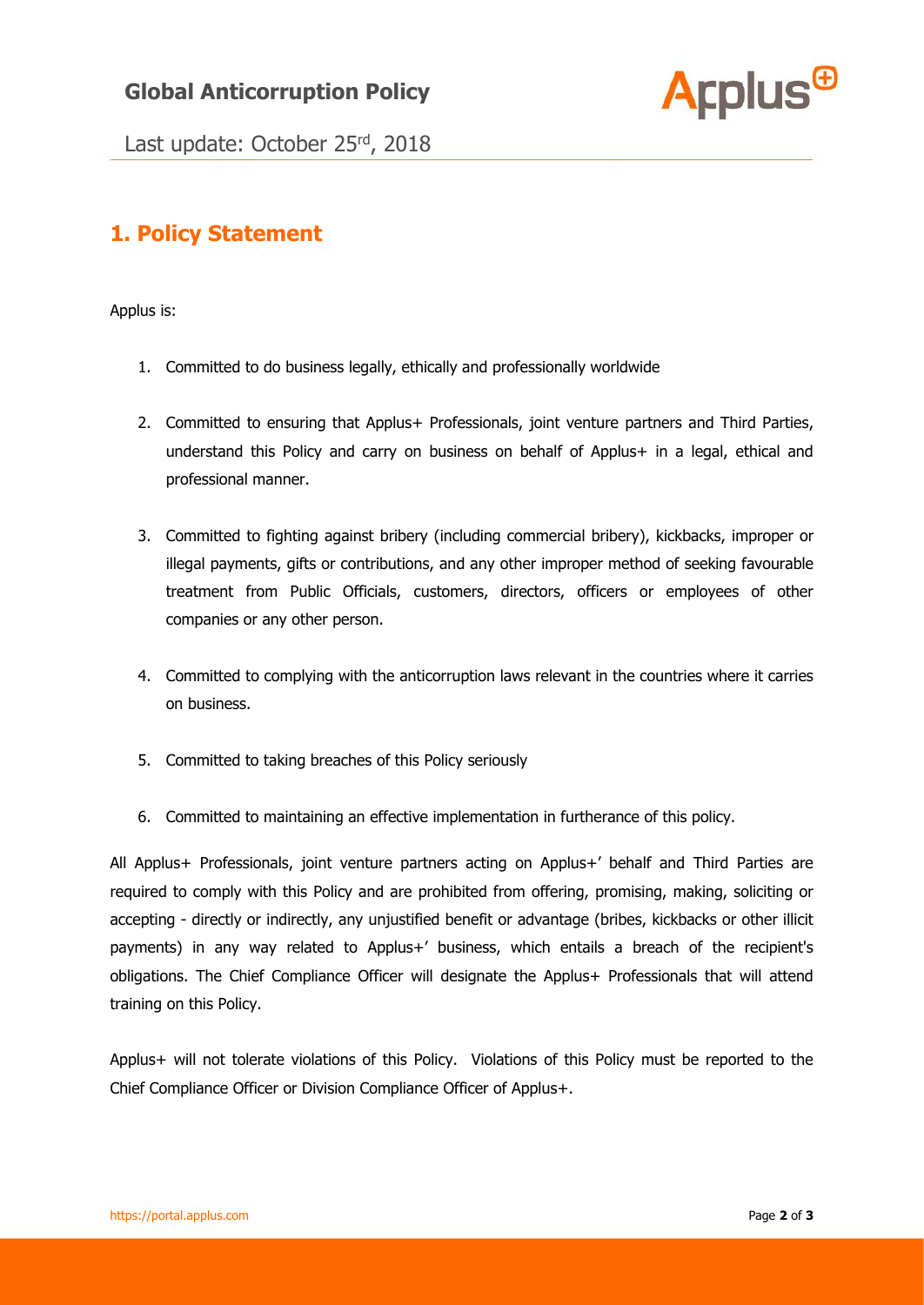## **Global Anticorruption Policy**



Last update: October 25rd, 2018

## **1. Policy Statement**

Applus is:

- 1. Committed to do business legally, ethically and professionally worldwide
- 2. Committed to ensuring that Applus+ Professionals, joint venture partners and Third Parties, understand this Policy and carry on business on behalf of Applus+ in a legal, ethical and professional manner.
- 3. Committed to fighting against bribery (including commercial bribery), kickbacks, improper or illegal payments, gifts or contributions, and any other improper method of seeking favourable treatment from Public Officials, customers, directors, officers or employees of other companies or any other person.
- 4. Committed to complying with the anticorruption laws relevant in the countries where it carries on business.
- 5. Committed to taking breaches of this Policy seriously
- 6. Committed to maintaining an effective implementation in furtherance of this policy.

All Applus+ Professionals, joint venture partners acting on Applus+' behalf and Third Parties are required to comply with this Policy and are prohibited from offering, promising, making, soliciting or accepting - directly or indirectly, any unjustified benefit or advantage (bribes, kickbacks or other illicit payments) in any way related to Applus+' business, which entails a breach of the recipient's obligations. The Chief Compliance Officer will designate the Applus+ Professionals that will attend training on this Policy.

Applus+ will not tolerate violations of this Policy. Violations of this Policy must be reported to the Chief Compliance Officer or Division Compliance Officer of Applus+.